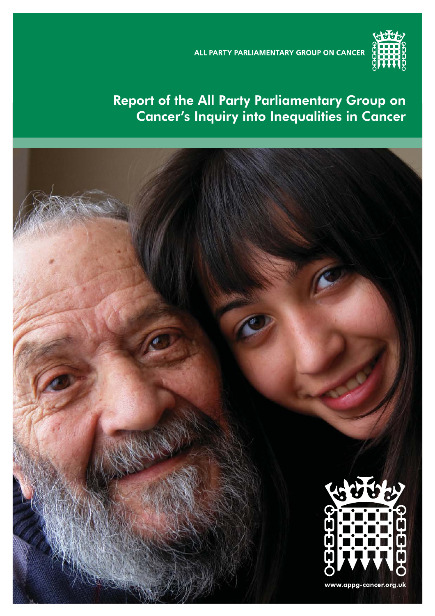ALL PARTY PARLIAMENTARY GROUP ON CANCER



# Report of the All Party Parliamentary Group on Cancer's Inquiry into Inequalities in Cancer

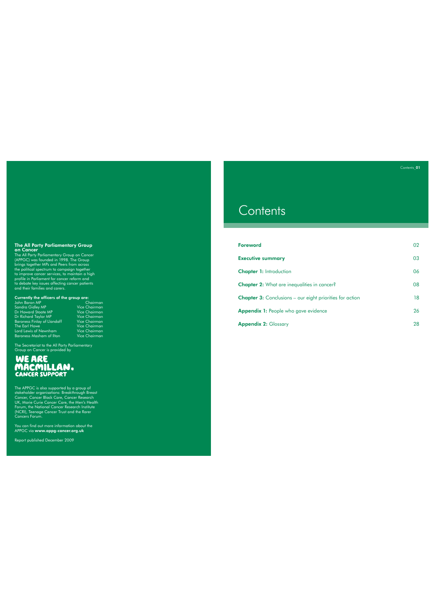The All Party Parliamentary Group<br>on Cancer<br>The All Party Parliamentary Group on Cancer<br>(APPGC) was founded in 1998. The Group<br>brings together MPs and Peers from accoss<br>the political spectrum to campaign together<br>to improv

Currently the officers of the group are: John Baron MP Chairman

| JONN DATON MP                      | Chairman             |
|------------------------------------|----------------------|
| Sandra Gidley MP                   | <b>Vice Chairman</b> |
| Dr Howard Stoate MP                | <b>Vice Chairman</b> |
| Dr Richard Taylor MP               | <b>Vice Chairman</b> |
| <b>Baroness Finlay of Llandaff</b> | Vice Chairman        |
| The Earl Howe                      | <b>Vice Chairman</b> |
| Lord Lewis of Newnham              | <b>Vice Chairman</b> |
| <b>Baroness Masham of Ilton</b>    | <b>Vice Chairman</b> |
|                                    |                      |

The Secretariat to the All Party Parliamentary Group on Cancer is provided by

The APPGC is also supported by a group of<br>stakeholder organisations: Breakthrough Breast<br>Cancer, Cancer Black Care, Cancer Research<br>UK, Marie Curie Cancer Care, the Men's Health<br>Forum, the National Cancer Research Institut

You can find out more information about the<br>APPGC via **www.appg-cancer.org.uk** 

Report published December 2009

# **Contents**

| <b>Foreword</b>                                                 | 02 |
|-----------------------------------------------------------------|----|
| <b>Executive summary</b>                                        | 03 |
| <b>Chapter 1: Introduction</b>                                  | 06 |
| <b>Chapter 2:</b> What are inequalities in cancer?              | 08 |
| <b>Chapter 3:</b> Conclusions – our eight priorities for action | 18 |
| <b>Appendix 1:</b> People who gave evidence                     | 26 |
| <b>Appendix 2: Glossary</b>                                     | 28 |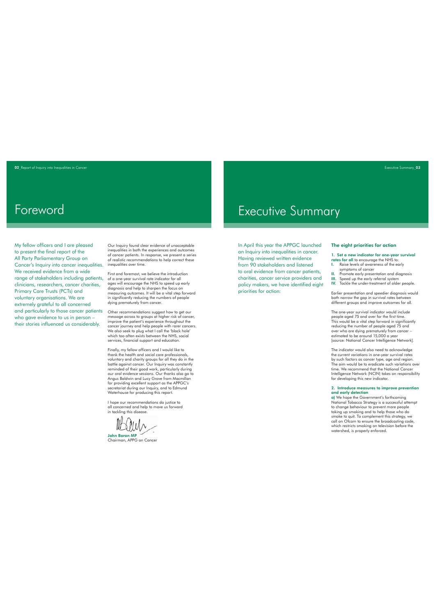# Foreword

My fellow officers and I are pleased to present the final report of the All Party Parliamentary Group on Cancer's Inquiry into cancer inequalities. We received evidence from a wide range of stakeholders including patients, clinicians, researchers, cancer charities, Primary Care Trusts (PCTs) and voluntary organisations. We are extremely grateful to all concerned and particularly to those cancer patients who gave evidence to us in person – their stories influenced us considerably.

Our Inquiry found clear evidence of unacceptable inequalities in both the experiences and outcomes of cancer patients. In response, we present a series of realistic recommendations to help correct these inequalities over time.

First and foremost, we believe the introduction of a one-year survival rate indicator for all ages will encourage the NHS to speed up early diagnosis and help to sharpen the focus on measuring outcomes. It will be a vital step forward in significantly reducing the numbers of people dying prematurely from cancer.

Other recommendations suggest how to get our message across to groups at higher risk of cancer, improve the patient's experience throughout the cancer journey and help people with rarer cancers. We also seek to plug what I call the 'black hole' which too often exists between the NHS, social services, financial support and education.

Finally, my fellow officers and I would like to<br>thank the health and social care professionals,<br>voluntary and charity groups for all they do in the<br>battle against cancer. Our Inquiry was constantly<br>reminded of their good w Angus Baldwin and Lucy Grove from Macmillan for providing excellent support as the APPGC's secretariat during our Inquiry, and to Edmund Waterhouse for producing this report.

I hope our recommendations do justice to all concerned and help to move us forward in tackling this disease.

John Baron MP Chairman, APPG on Cancer

# Executive Summary

In April this year the APPGC launched an Inquiry into inequalities in cancer. Having reviewed written evidence from 90 stakeholders and listened to oral evidence from cancer patients, charities, cancer service providers and policy makers, we have identified eight priorities for action:

## The eight priorities for action

1. Set a new indicator for one-year survival rates for all to encourage the NHS to: I. Raise levels of awareness of the early

- symptoms of cancer II. Promote early presentation and diagnosis III. Speed up the early referral system IV. Tackle the under-treatment of older people.
- 

Earlier presentation and speedier diagnosis would both narrow the gap in survival rates between different groups and improve outcomes for all.

The one-year survival indicator would include people aged 75 and over for the first time. This would be a vital step forward in significantly reducing the number of people aged 75 and over who are dying prematurely from cancer – estimated to be around 15,000 a year [source: National Cancer Intelligence Network].

The indicator would also need to acknowledge the current variations in one-year survival rates by such factors as cancer type, age and region. The aim would be to eradicate such variations over time. We recommend that the National Cancer Intelligence Network (NCIN) takes on responsibility for developing this new indicator.

## 2. Introduce measures to improve prevention and early detection a) We hope the Government's forthcoming

National Tobacco Strategy is a successful attempt to change behaviour to prevent more people taking up smoking and to help those who do smoke to quit. To complement this strategy, we call on Ofcom to ensure the broadcasting code, which restricts smoking on television before the watershed, is properly enforced.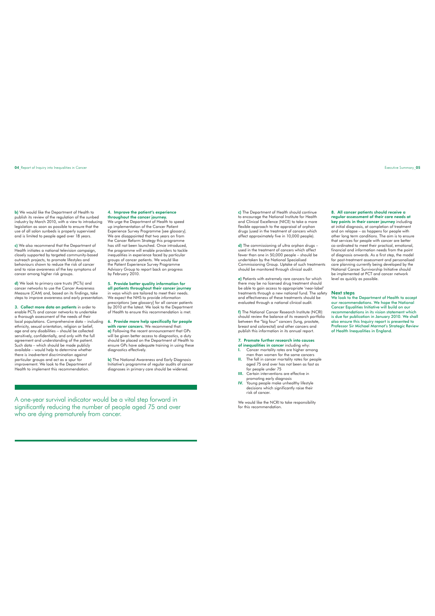b) We would like the Department of Health to publish its review of the regulation of the sunbed industry by March 2010, with a view to introducing legislation as soon as possible to ensure that the use of all salon sunbeds is properly supervised and is limited to people aged over 18 years.

c) We also recommend that the Department of Health initiates a national television campaign, closely supported by targeted community-based outreach projects, to promote lifestyles and behaviours shown to reduce the risk of cancer and to raise awareness of the key symptoms of cancer among higher risk groups.

d) We look to primary care trusts (PCTs) and cancer networks to use the Cancer Awareness Measure (CAM) and, based on its findings, take steps to improve awareness and early presentation.

3. Collect more data on patients in order to enable PCTs and cancer networks to undertake a thorough assessment of the needs of their local populations. Comprehensive data – including ethnicity, sexual orientation, religion or belief, age and any disabilities – should be collected sensitively, confidentially, and only with the full agreement and understanding of the patient. Such data – which should be made publicly  $a$ vailable – would help to determine whether there is inadvertent discrimination against particular groups and act as a spur for improvement. We look to the Department of Health to implement this recommendation.

## 4. Improve the patient's experience

**throughout the cancer journey.**<br>We urge the Department of Health to speed up implementation of the Cancer Patient Experience Survey Programme [see glossary]. We are disappointed that two years on from the Cancer Reform Strategy this programme has still not been launched. Once introduced, the programme will enable providers to tackle inequalities in experience faced by particular groups of cancer patients. We would like the Patient Experience Survey Programme Advisory Group to report back on progress by February 2010.

5. Provide better quality information for all patients throughout their cancer journey in ways which are tailored to meet their needs. We expect the NHS to provide *information prescriptions* [see glossary] for all cancer patients by 2010 at the latest. We look to the Department Health to ensure this recommendation is met.

6. Provide more help specifically for people with rarer cancers. We recommend that: a) Following the recent announcement that GPs will be given better access to diagnostics, a duty should be placed on the Department of Health to ensure GPs have adequate training in using these diagnostics effectively.

b) The National Awareness and Early Diagnosis Initiative's programme of regular audits of cancer diagnoses in primary care should be widened.

A one-year survival indicator would be a vital step forward in significantly reducing the number of people aged 75 and over who are dying prematurely from cancer.

c) The Department of Health should continue to encourage the National Institute for Health and Clinical Excellence (NICE) to take a more flexible approach to the appraisal of orphan drugs (used in the treatment of cancers which affect approximately five in 10,000 people).

d) The commissioning of ultra orphan druas used in the treatment of cancers which affect fewer than one in 50,000 people – should be undertaken by the National Specialised Commissioning Group. Uptake of such treatments should be monitored through clinical audit.

e) Patients with extremely rare cancers for which there may be no licensed drug treatment should<br>be able to gain access to appropriate 'near-label'<br>treatments through a new national fund. The safety<br>and effectiveness of these treatments should be evaluated through a national clinical audit.

f) The National Cancer Research Institute (NCRI) should review the balance of its research portfolio between the "big four" cancers (lung, prostate, breast and colorectal) and other cancers and publish this information in its annual report.

## 7. Promote further research into causes

- of inequalities in cancer including why:<br>
1. Cancer mortality rates are higher am I. Cancer mortality rates are higher among men than women for the same cancers II. The fall in cancer mortality rates for people
- aged 75 and over has not been as fast as for people under 75 III. Certain interventions are effective in
- 
- promoting early diagnosis IV. Young people make unhealthy lifestyle decisions which significantly raise their risk of cancer.

We would like the NCRI to take responsibility for this recommendation.

8. All cancer patients should receive a regular assessment of their care needs at key points in their cancer journey including at initial diagnosis, at completion of treatment and on relapse – as happens for people with other long term conditions. The aim is to ensure that services for people with cancer are better<br>co-ordinated to meet their practical, emotional,<br>financial and information needs from the point<br>of diagnosis onwards. As a first step, the model for post-treatment assessment and personalised care planning currently being developed by the National Cancer Survivorship Initiative should be implemented at PCT and cancer network level as quickly as possible.

Next steps We look to the Department of Health to accept our recommendations. We hope the National Cancer Equalities Initiative will build on our recommendations in its vision statement which is due for publication in January 2010. We shall also ensure this Inquiry report is presented to Professor Sir Michael Marmot's Strategic Review of Health Inequalities in England.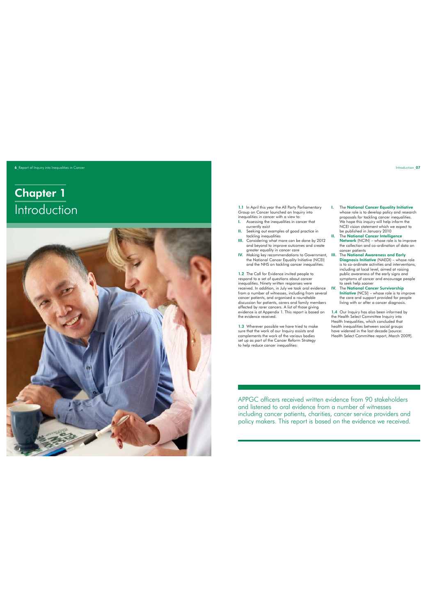## 6 Report of Inquiry into Inequalities in Cancer

# Chapter 1 **Introduction**



1.1 In April this year the All Party Parliamentary Group on Cancer launched an Inquiry into inequalities in cancer with a view to: I. Assessing the inequalities in cancer that

- 
- currently exist II. Seeking out examples of good practice in tackling inequalities
- III. Considering what more can be done by 2012 and beyond to improve outcomes and create greater equality in cancer care
- IV. Making key recommendations to Government, the National Cancer Equality Initiative (NCEI) and the NHS on tackling cancer inequalities.

1.2 The Call for Evidence invited people to<br>respond to a set of questions about cancer<br>inequalities. Ninety written responses were<br>received. In addition, in July we took oral evidence<br>from a number of witherses, including discussion for patients, carers and family members affected by rarer cancers. A list of those giving evidence is at Appendix 1. This report is based on the evidence received.

1.3 Wherever possible we have tried to make sure that the work of our Inquiry assists and complements the work of the various bodies set up as part of the Cancer Reform Strategy to help reduce cancer inequalities:

- I. The National Cancer Equality Initiative whose role is to develop policy and research proposals for tackling cancer inequalities. We hope this inquiry will help inform the NCEI vision statement which we expect to be published in January 2010 II. The National Cancer Intelligence
- Network (NCIN) whose role is to improve the collection and co-ordination of data on cancer patients<br>
The National Awareness and Early
- III. The National Awareness and Early<br>Diagnosis Initiative (NAED) whose role<br>is to co-ordinate activities and interventions,<br>including at local level, gimed at roising<br>public awareness of the early signs and<br>symptoms of
- Initiative (NCSI) whose role is to improve the care and support provided for people living with or after a cancer diagnosis.

1.4 Our Inquiry has also been informed by the Health Select Committee Inquiry into Health Inequalities, which concluded that health inequalities between social groups have widened in the last decade [source: Health Select Committee report, March 2009].

APPGC officers received written evidence from 90 stakeholders and listened to oral evidence from a number of witnesses including cancer patients, charities, cancer service providers and policy makers. This report is based on the evidence we received.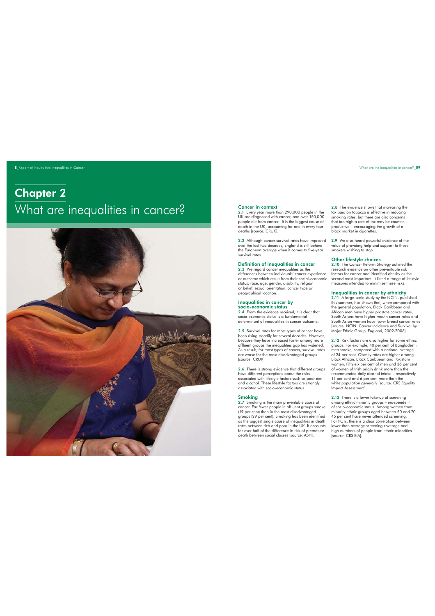8\_Report of Inquiry into Inequalities in Cancer

# Chapter 2 What are inequalities in cancer?



## Cancer in context

2.1 Every year more than 290,000 people in the UK are diagnosed with cancer, and over 150,000 people die from cancer. It is the biggest cause of death in the UK, accounting for one in every four deaths [source: CRUK].

2.2 Although cancer survival rates have improved over the last two decades, England is still behind the European average when it comes to five-year survival rates.

## Definition of inequalities in cancer

2.3 We regard cancer inequalities as the differences between individuals' cancer experience or outcome which result from their social-economic status, race, age, gender, disability, religion or belief, sexual orientation, cancer type or geographical location.

## Inequalities in cancer by

**socio-economic status**<br>2.4 From the evidence received, it is clear that<br>socio-economic status is a fundamental determinant of inequalities in cancer outcome.

2.5 Survival rates for most types of cancer have been rising steadily for several decades. However, because they have increased faster among more affluent groups the inequalities gap has widened. As a result, for most types of cancer, survival rates are worse for the most disadvantaged groups [source: CRUK].

**2.6** There is strong evidence that different groups<br>have different perceptions about the risks<br>associated with lifestyle factors such as poor diet<br>and alcohol. These lifestyle factors are strongly<br>associated with socio-ec

## Smoking

2.7 Smoking is the main preventable cause of<br>cancer. Far fewer people in affluent groups smoke<br>(19 per cent) than in the most disadvantaged<br>groups (29 per cent). Smoking has been identified<br>as the biggest single cause of i for over half of the difference in risk of premature death between social classes [source: ASH].

2.8 The evidence shows that increasing the tax paid on tobacco is effective in reducing smoking rates, but there are also concerns that too high a rate of tax may be counterproductive – encouraging the growth of a black market in cigarettes.

2.9 We also heard powerful evidence of the value of providing help and support to those smokers wishing to stop.

## Other lifestyle choices

2.10 The Cancer Reform Strategy outlined the research evidence on other preventable risk factors for cancer and identified obesity as the second most important. It listed a range of lifestyle measures intended to minimise these risks.

**Inequalities in cancer by ethnicity**<br>2.11 A large-scale study by the NCIN, published<br>this summer, has shown that, when compared with the general population, Black Caribbean and African men have higher prostate cancer rates, South Asians have higher mouth cancer rates and South Asian women have lower breast cancer rates [source: NCIN: Cancer Incidence and Survival by Major Ethnic Group, England, 2002-2006].

2.12 Risk factors are also higher for some ethnic groups. For example, 40 per cent of Bangladeshi men smoke, compared with a national average of 24 per cent. Obesity rates are higher among Black African, Black Caribbean and Pakistani women. Fifty-six per cent of men and 36 per cent of women of Irish origin drink more than the recommended daily alcohol intake – respectively 11 per cent and 6 per cent more than the white population generally [source: CRS Equality Impact Assessment].

2.13 There is a lower take-up of screening among ethnic minority groups – independent of socio-economic status. Among women from minority ethnic groups aged between 50 and 70, 45 per cent have never attended screening. For PCTs, there is a clear correlation between lower than average screening coverage and high numbers of people from ethnic minorities [source: CRS EIA].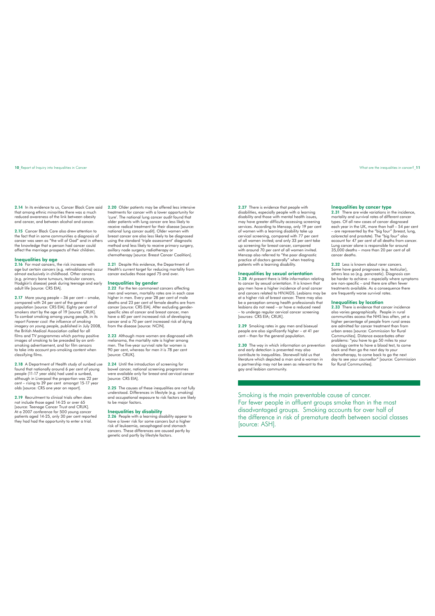2.14 In its evidence to us, Cancer Black Care said that among ethnic minorities there was a much reduced awareness of the link between obesity and cancer, and between alcohol and cancer.

2.15 Cancer Black Care also drew attention to the fact that in some communities a diagnosis of cancer was seen as "the will of God" and in others the knowledge that a person had cancer could affect the marriage prospects of their children.

## Inequalities by age

2.16 For most cancers, the risk increases with age but certain cancers (e.g. retinoblastoma) occur almost exclusively in childhood. Other cancers (e.g. primary bone tumours, testicular cancers, Hodgkin's disease) peak during teenage and early adult life [source: CRS EIA].

2.17 More young people – 36 per cent – smoke, compared with 24 per cent of the general population [source: CRS EIA]. Eighty per cent of smokers start by the age of 19 [source: CRUK]. To combat smoking among young people, in its report *Forever cool: the influence of smoking imagery on young people*, published in July 2008, the British Medical Association called for all films and TV programmes which portray positive images of smoking to be preceded by an anti-smoking advertisement, and for film censors to take into account pro-smoking content when classifying films.

2.18 A Department of Health study of sunbed use found that nationally around 6 per cent of young people (11-17 year olds) had used a sunbed, although in Liverpool the proportion was 22 per cent – rising to 39 per cent amongst 15-17 year olds [source: CRS one year on report].

2.19 Recruitment to clinical trials often does not include those aged 14-25 or over 65 [source: Teenage Cancer Trust and CRUK]. At a 2007 conference for 500 young cancer patients aged 14-25, only 30 per cent reported they had had the opportunity to enter a trial. 2.20 Older patients may be offered less intensive treatments for cancer with a lower opportunity for 'cure'. The national lung cancer audit found that older patients with lung cancer are less likely to receive radical treatment for their disease [source: national lung cancer audit]. Older women with breast cancer are also less likely to be diagnosed using the standard 'triple assessment' diagnostic method and less likely to receive primary surgery, axillary node surgery, radiotherapy or chemotherapy [source: Breast Cancer Coalition].

2.21 Despite this evidence, the Department of Health's current target for reducing mortality from cancer excludes those aged 75 and over.

## Inequalities by gender

2.22<sup></sup> For the ten commonest cancers affecting men and women, mortality rates are in each case higher in men. Every year 28 per cent of male deaths and 23 per cent of female deaths are from cancer [source: CRS EIA]. After excluding gender-specific sites of cancer and breast cancer, men have a 60 per cent increased risk of developing cancer and a 70 per cent increased risk of dying from the disease [source: NCIN].

2.23 Although more women are diagnosed with melanoma, the mortality rate is higher among men. The five-year survival rate for women is 90 per cent, whereas for men it is 78 per cent [source: CRUK].

2.24 Until the introduction of screening for bowel cancer, national screening programmes were available only for breast and cervical cancer [source: CRS EIA].

2.25 The causes of these inequalities are not fully understood. Differences in lifestyle (e.g. smoking) and occupational exposure to risk factors are likely to be major factors.

## Inequalities by disability

2.26 People with a learning disability appear to have a lower risk for some cancers but a higher risk of leukaemia, oesophageal and stomach cancers. These differences are caused partly by genetic and partly by lifestyle factors.

2.27 There is evidence that people with disabilities, especially people with a learning disability and those with mental health issues, may have greater difficulty accessing screening services. According to Mencap, only 19 per cent of women with a learning disability take up cervical screening, compared with 77 per cent of all women invited; and only 33 per cent take up screening for breast cancer, compared with around 70 per cent of all women invited. Mencap also referred to "the poor diagnostic practice of doctors generally" when treating patients with a learning disability.

## Inequalities by sexual orientation

2.28 At present there is little information relating to cancer by sexual orientation. It is known that gay men have a higher incidence of anal cancer<br>and cancers related to HIV/AIDS. Lesbians may be<br>at a higher risk of breast cancer. There may also<br>be a perception among health professionals that<br>lesbians do not need – or ha

2.29 Smoking rates in gay men and bisexual people are also significantly higher – at 41 per cent – than for the general population.

2.30 The way in which information on prevention and early detection is presented may also contribute to inequalities. Stonewall told us that literature which depicted a man and a woman in a partnership may not be seen as relevant to the gay and lesbian community.

### Inequalities by cancer type

2.31 There are wide variations in the incidence, mortality and survival rates of different cancer types. Of all new cases of cancer diagnosed each year in the UK, more than half – 54 per cent – are represented by the "big four" (breast, lung, colorectal and prostate). The "big four" also account for 47 per cent of all deaths from cancer. Lung cancer alone is responsible for around 35,000 deaths – more than 20 per cent of all cancer deaths.

2.32 Less is known about rarer cancers Some have good prognoses (e.g. testicular), others less so (e.g. pancreatic). Diagnosis can be harder to achieve – especially where symptoms are non-specific – and there are often fewer treatments available. As a consequence there are frequently worse survival rates.

## Inequalities by location

2.33 There is evidence that cancer incidence also varies geographically. People in rural communities access the NHS less often, yet a higher percentage of people from rural areas are admitted for cancer treatment than from urban areas [source: Commission for Rural Communities]. Distance exacerbates other problems: "you have to go 50 miles to your oncology centre to have a blood test, to come back and then go the next day to your chemotherapy, to come back to go the next day to see your counsellor" [source: Commission for Rural Communities].

Smoking is the main preventable cause of cancer. Far fewer people in affluent groups smoke than in the most disadvantaged groups. Smoking accounts for over half of the difference in risk of premature death between social classes [source: ASH].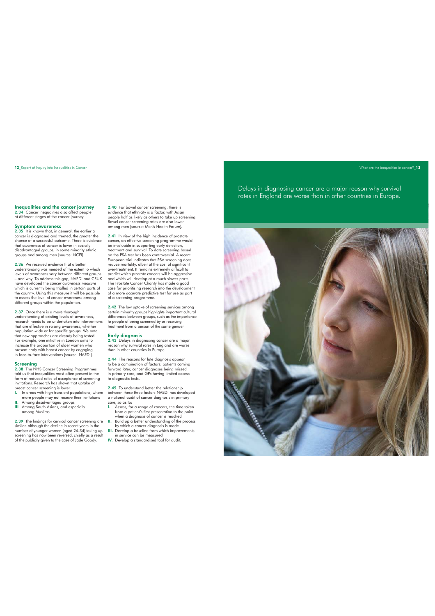12 Report of Inquiry into Inequalities in Cancer Cancer What are the inequalities in cancer? 13

Inequalities and the cancer journey 2.34 Cancer inequalities also affect people at different stages of the cancer journey.

**Symptom awareness**<br>2.35 It is known that, in general, the earlier a<br>cancer is diagnosed and treated, the greater the chance of a successful outcome. There is evidence that awareness of cancer is lower in socially disadvantaged groups, in some minority ethnic groups and among men [source: NCEI].

2.36 We received evidence that a better understanding was needed of the extent to which levels of awareness vary between different groups - and why. To address this gap, NAEDI and CRUK<br>have developed the cancer awareness measure<br>which is currently being trialed in certain parts of<br>the country. Using this measure it will be possible<br>to assess the level of can

2.37 Once there is a more thorough understanding of existing levels of awareness, research needs to be undertaken into interventions that are effective in raising awareness, whether population-wide or for specific groups. We note that new approaches are already being tested. For example, one initiative in London aims to increase the proportion of older women who present early with breast cancer by engaging in face-to-face interventions [source: NAEDI].

Screening 2.38 The NHS Cancer Screening Programmes told us that inequalities most often present in the form of reduced rates of acceptance of screening invitations. Research has shown that uptake of breast cancer screening is lower:

- I. In areas with high transient populations, where
- more people may not receive their invitations II. Among disadvantaged groups III. Among South Asians, and especially among Muslims.

2.39 The findings for cervical cancer screening are similar, although the decline in recent years in the number of younger women (aged 24-34) taking up screening has now been reversed, chiefly as a result of the publicity given to the case of Jade Goody. 2.40 For bowel cancer screening, there is evidence that ethnicity is a factor, with Asian people half as likely as others to take up screening. Bowel cancer screening rates are also lower among men [source: Men's Health Forum].

2.41 In view of the high incidence of prostate cancer, an effective screening programme would be invaluable in supporting early detection, treatment and survival. To date screening based on the PSA test has been controversial. A recent European trial indicates that PSA screening does reduce mortality, albeit at the cost of significant over-treatment. It remains extremely difficult to predict which prostate cancers will be aggressive and which will develop at a much slower pace. The Prostate Cancer Charity has made a good case for prioritising research into the development of a more accurate predictive test for use as part of a screening programme.

2.42 The low uptake of screening services among certain minority groups highlights important cultural differences between groups, such as the importance to people of being screened by or receiving treatment from a person of the same gender.

**Early diagnosis**<br>2.43 Delays in diagnosing cancer are a major<br>reason why survival rates in England are worse than in other countries in Europe.

2.44 The reasons for late diagnosis appear to be a combination of factors: patients coming forward later, cancer diagnoses being missed in primary care, and GPs having limited access to diagnostic tests.

2.45 To understand better the relationship between these three factors NAEDI has developed a national audit of cancer diagnosis in primary care, so as to:

- I. Assess, for a range of cancers, the time taken from a patient's first presentation to the point when a diagnosis of cancer is reached II. Build up a better understanding of the process
- by which a cancer diagnosis is made III. Develop a baseline from which improvements
- in service can be measured IV. Develop a standardised tool for audit.

Delays in diagnosing cancer are a major reason why survival rates in England are worse than in other countries in Europe.

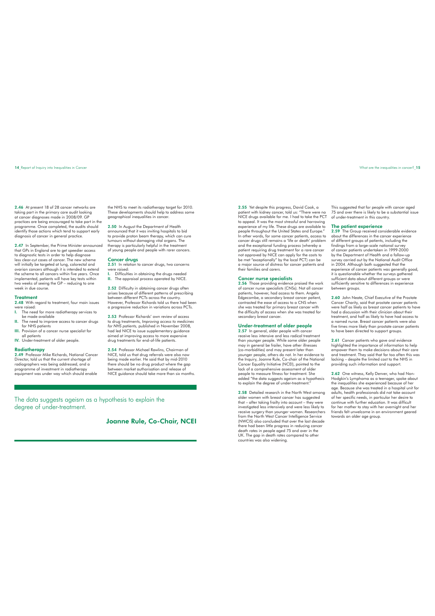2.46 At present 18 of 28 cancer networks are taking part in the primary care audit looking at cancer diagnoses made in 2008/09. GP practices are being encouraged to take part in the programme. Once completed, the audits should identify those actions which tend to support early diagnosis of cancer in general practice.

2.47 In September, the Prime Minister announced that GPs in England are to get speedier access to diagnostic tests in order to help diagnose less clear-cut cases of cancer. The new scheme will initially be targeted at lung, colorectal and ovarian cancers although it is intended to extend the scheme to all cancers within five years. Once implemented, patients will have key tests within two weeks of seeing the GP – reducing to one week in due course.

## Treatment

2.48 With regard to treatment, four main issues were raised:<br>L. The nee

- I. The need for more radiotherapy services to be made available
- II. The need to improve access to cancer drugs for NHS patients III. Provision of a cancer nurse specialist for
- all patients IV. Under-treatment of older people.

**Radiotherapy**<br>2.49 Professor Mike Richards, National Cancer<br>Director, told us that the current shortage of radiographers was being addressed, and a programme of investment in radiotherapy equipment was under way which should enable

the NHS to meet its radiotherapy target for 2010. These developments should help to address some geographical inequalities in cancer.

2.50 In August the Department of Health announced that it was inviting hospitals to bid to provide proton beam therapy, which can cure tumours without damaging vital organs. The therapy is particularly helpful in the treatment of young people and people with rarer cancers.

## Cancer drugs

2.51 In relation to cancer drugs, two concerns were raised: Difficulties in obtaining the drugs needed

II. The appraisal process operated by NICE.

2.52 Difficulty in obtaining cancer drugs often arises because of different patterns of prescribing between different PCTs across the country. However, Professor Richards told us there had been a progressive reduction in variations across PCTs.

2.53 Professor Richards' own review of access to drug treatments, *Improving access to medicines for NHS patients,* published in November 2008, had led NICE to issue supplementary guidance aimed at improving access to more expensive drug treatments for end-of-life patients.

2.54 Professor Michael Rawlins, Chairman of NICE, told us that drug referrals were also now being made earlier. He said that by mid-2010 there should be no drug product where the gap between market authorisation and release of NICE guidance should take more than six months.

The data suggests ageism as a hypothesis to explain the degree of under-treatment.

Joanne Rule, Co-Chair, NCEI

2.55 Yet despite this progress, David Cook, a patient with kidney cancer, told us: "There were no NICE drugs available for me. I had to take the PCT to appeal. It was the most stressful and harrowing experience of my life. These drugs are available to people throughout the United States and Europe." In other words, for some cancer patients, access to cancer drugs still remains a 'life or death' problem and the exceptional funding process (whereby a<br>patient requiring drug treatment for a rare cancer<br>not approved by NICE can apply for the costs to<br>be met "exceptionally" by the local PCT) can be a major source of distress for cancer patients and their families and carers.

**Cancer nurse specialists**<br>2.56 Those providing evidence praised the work<br>of cancer nurse specialists (CNSs). Not all cancer patients, however, had access to them. Angela Edgecombe, a secondary breast cancer patient, contrasted the ease of access to a CNS when she was treated for primary breast cancer with the difficulty of access when she was treated for secondary breast cancer.

## Under-treatment of older people

2.57 In general, older people with cancer receive less intensive and less radical treatment than younger people. While some older people may in general be frailer, have other illnesses (co-morbidities) and may present later than younger people, others do not. In her evidence to the Inquiry, Joanne Rule, Co-chair of the National Cancer Equality Initiative (NCEI), pointed to the lack of a comprehensive assessment of older people to measure fitness for treatment. She added "the data suggests ageism as a hypothesis to explain the degree of under-treatment."

2.58 Detailed research in the North West among older women with breast cancer has suggested that – after taking frailty into account – they were investigated less intensively and were less likely to<br>receive surgery than younger women. Reesarchers<br>from the North West Cancer Intelligence Service<br>(NWCIS) also concluded that over the last decade<br>there had been little p

This suggested that for people with cancer aged 75 and over there is likely to be a substantial issue of under-treatment in this country.

### The patient experience

2.59 The Group received considerable evidence about the differences in the cancer experience of different groups of patients, including the<br>findings from a large-scale national survey<br>of cancer patients undertaken in 1999-2000<br>by the Department of Health and a follow-up<br>survey carried out by the National Audit Off experience of cancer patients was generally good, it is questionable whether the surveys gathered sufficient data about different groups or were sufficiently sensitive to differences in experience between groups.

2.60 John Neate, Chief Executive of the Prostate Cancer Charity, said that prostate cancer patients were half as likely as breast cancer patients to have had a discussion with their clinician about their treatment, and half as likely to have had access to a named nurse. Breast cancer patients were also five times more likely than prostate cancer patients to have been directed to support groups.

2.61 Cancer patients who gave oral evidence highlighted the importance of information to help empower them to make decisions about their care and treatment. They said that far too often this was lacking – despite the limited cost to the NHS in providing such information and support.

2.62 One witness, Kelly Denver, who had Non-Hodgkin's Lymphoma as a teenager, spoke about the inequalities she experienced because of her age. Because she was treated in a hospital unit for adults, health professionals did not take account of her specific needs, in particular her desire to continue with further education. It was difficult for her mother to stay with her overnight and her friends felt unwelcome in an environment geared towards an older age group.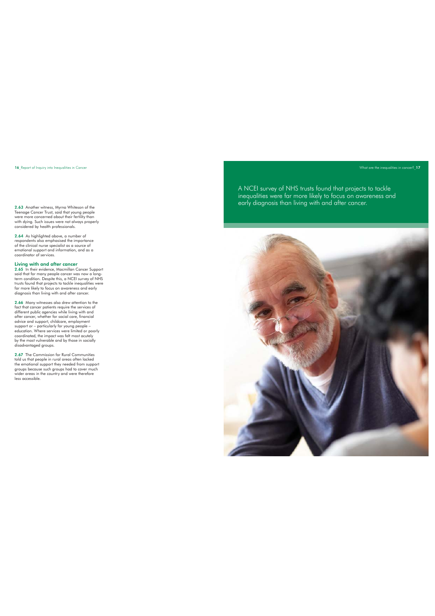16\_Report of Inquiry into Inequalities in Cancer **Cancer According to the intervention** of the inequalities in cancer **Number of the inequalities in cancer** 2004

Teenage Cancer Trust, said that young people were more concerned about their fertility than with dying. Such issues were not always properly considered by health professionals.

2.64 As highlighted above, a number of respondents also emphasised the importance of the clinical nurse specialist as a source of emotional support and information, and as a coordinator of services.

**Living with and after cancer**<br>**2.65** In their evidence, Macmillan Cancer Support<br>said that for many people cancer was now a long-<br>term condition. Despite this, a NCEI survey of NHS<br>trusts found that projects to tackle ine diagnosis than living with and after cancer.

2.66 Many witnesses also drew attention to the fact that cancer patients require the services of different public agencies while living with and after cancer, whether for social care, financial advice and support, childcare, employment support or – particularly for young people – education. Where services were limited or poorly coordinated, the impact was felt most acutely by the most vulnerable and by those in socially disadvantaged groups.

2.67 The Commission for Rural Communities<br>told us that people in rural races often lacked<br>the emotional support they needed from support<br>groups because such groups had to cover much<br>wider areas in the country and were ther

A NCEI survey of NHS trusts found that projects to tackle inequalities were far more likely to focus on awareness and 2.63 Another witness, Myrna Whiteson of the **Exercise 1998** Party diagnosis than living with and after cancer.

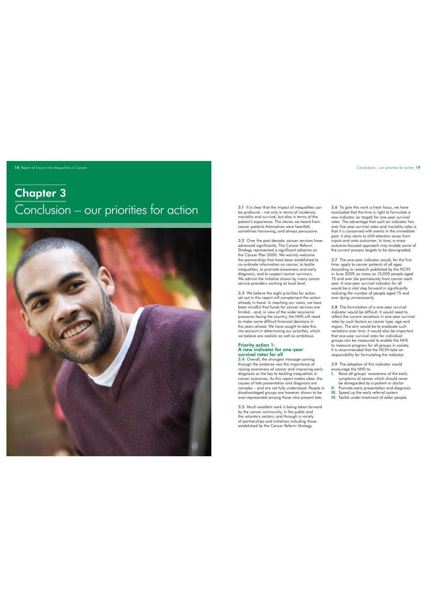18 Report of Inquiry into Inequalities in Cancer Conclusions – our priorities for action\_19 Report of Inquiry into Inequalities for action\_19

# Chapter 3 Conclusion – our priorities for action



3.1 It is clear that the impact of inequalities can be profound – not only in terms of incidence,<br>mortality and survival, but also in terms of the<br>patient''s experience. The stories we heard from<br>cancer patients themselves were heartfelt,<br>sometimes harrowing, and always per

3.2 Over the past decade, cancer services have advanced significantly. The Cancer Reform Strategy represented a significant advance on the Cancer Plan 2000. We warmly welcome the partnerships that have been established to co-ordinate information on cancer, to tackle inequalities, to promote awareness and early diagnosis, and to support cancer survivors. We admire the initiative shown by many cancer service providers working at local level.

3.3 We believe the eight priorities for action set out in this report will complement the action already in hand. In reaching our views, we have been mindful that funds for cancer services are limited – and, in view of the wider economic pressures facing the country, the NHS will need to make some difficult financial decisions in the years ahead. We have sought to take this nto account in determining our priorities, which we believe are realistic as well as ambitious.

## Priority action 1: **A new indicator for one-year<br>survival rates for all**<br>3.4 Overall, the strongest message coming

through the evidence was the importance of raising awareness of cancer and improving early diagnosis as the key to tackling inequalities in cancer outcomes. As this report makes clear, the causes of late presentation and diagnosis are complex – and are not fully understood. People in disadvantaged groups are however shown to be over-represented among those who present late.

3.5 Much excellent work is being taken forward by the cancer community, in the public and the voluntary sectors, and through a variety of partnerships and initiatives including those established by the Cancer Reform Strategy.

3.6 To give this work a fresh focus, we have concluded that the time is right to formulate a new indicator (or target) for one-year survival rates. The advantage that such an indicator has over five-year survival rates and mortality rates is that it is concerned with events in the immediate past. It also starts to shift attention away from inputs and onto outcomes. In time, a more outcome-focused approach may enable some of the current process targets to be downgraded.

3.7 The one-year indicator would, for the first time, apply to cancer patients of all ages. According to research published by the NCIN in June 2009, as many as 15,000 people aged<br>75 and over die prematurely from cancer each<br>year. A one-year survival indicator for all<br>would be a vital step forward in significantly<br>reducing the number of people aged 75 and over dying unnecessarily.

3.8 The formulation of a one-year survival indicator would be difficult. It would need to reflect the current variations in one-year survival rates by such factors as cancer type, age and region. The aim would be to eradicate such variations over time. It would also be important that one-year survival rates for individual<br>groups can be measured to enable the NHS<br>to measure progress for all groups in society.<br>It is recommended that the NCIN take on responsibility for formulating the indicator.

3.9 The adoption of this indicator would encourage the NHS to: I. Raise all groups' awareness of the early

- symptoms of cancer which should never be disregarded by a patient or doctor II. Promote early presentation and diagnosis
- III. Speed up the early referral system IV. Tackle under-treatment of older people.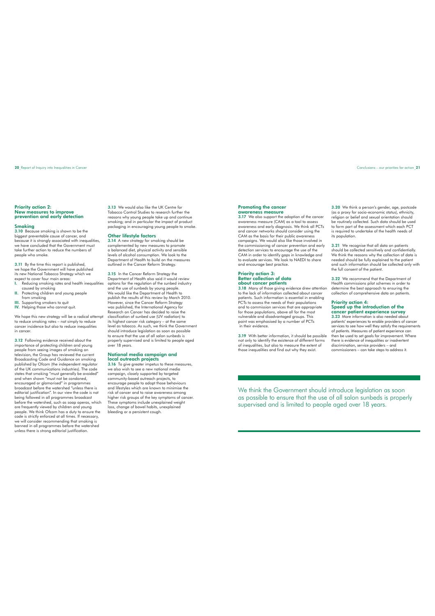Priority action 2: New measures to improve prevention and early detection

## Smoking<br>3.10 Bossi

Juse smoking is shown to be the biggest preventable cause of cancer, and because it is strongly associated with inequalities, we have concluded that the Government must take further action to reduce the numbers of people who smoke.

3.11 By the time this report is published, we hope the Government will have published its new National Tobacco Strategy which we

- expect to cover four main areas: I. Reducing smoking rates and health inequalities caused by smoking II. Protecting children and young people from smoking III. Supporting smokers to quit
- 
- IV. Helping those who cannot quit.

We hope this new strategy will be a radical attempt to reduce smoking rates – not simply to reduce cancer incidence but also to reduce inequalities in cancer

3.12 Following evidence received about the importance of protecting children and young people from seeing images of smoking on television, the Group has reviewed the current Broadcasting Code and Guidance on smoking published by Ofcom (the independent regulator of the UK communications industries). The code states that smoking "must generally be avoided" and when shown "must not be condoned,<br>encouraged or glamorised" in programmes<br>broadcast before the watershed "unless there is<br>editorial justification". In our view the code is not being followed in all programmes broadcast before the watershed, such as soap operas, which are frequently viewed by children and young people. We think Ofcom has a duty to ensure the code is strictly enforced at all times. If necessary, we will consider recommending that smoking is banned in all programmes before the watershed unless there is strong editorial justification.

3.13 We would also like the UK Centre for Tobacco Control Studies to research further the reasons why young people take up and continue smoking; and in particular the impact of product packaging in encouraging young people to smoke.

### Other lifestyle factors

3.14 A new strategy for smoking should be complemented by new measures to promote a balanced diet, physical activity and sensible levels of alcohol consumption. We look to the Department of Health to build on the measures outlined in the Cancer Reform Strategy.

3.15 In the Cancer Reform Strategy the Department of Health also said it would review options for the regulation of the sunbed industry and the use of sunbeds by young people. We would like the Department of Health to publish the results of this review by March 2010. However, since the Cancer Reform Strategy was published, the International Agency for Research on Cancer has decided to raise the classification of sunbed use (UV radiation) to its highest cancer risk category – at the same level as tobacco. As such, we think the Government should introduce legislation as soon as possible to ensure that the use of all salon sunbeds is properly supervised and is limited to people aged over 18 years.

## National media campaign and local outreach projects

3.16 To give greater impetus to these measures, we also wish to see a new national media campaign, closely supported by targeted community-based outreach projects, to encourage people to adopt those behaviours and lifestyles which are known to minimise the risk of cancer and to raise awareness among higher risk groups of the key symptoms of cancer. These symptoms include unexplained weight loss, change of bowel habits, unexplained bleeding or a persistent cough.

### Promoting the cancer awareness measure

3.17 We also support the adoption of the cancer awareness measure (CAM) as a tool to assess awareness and early diagnosis. We think all PCTs and cancer networks should consider using the CAM as the basis for their public awareness campaigns. We would also like those involved in the commissioning of cancer prevention and early detection services to encourage the use of the CAM in order to identify gaps in knowledge and to evaluate services. We look to NAEDI to share and encourage best practice.

## Priority action 3: Better collection of data about cancer patients

3.18 Many of those giving evidence drew attention to the lack of information collected about cancer patients. Such information is essential in enabling PCTs to assess the needs of their populations and to commission services that are appropriate for those populations, above all for the most vulnerable and disadvantaged groups. This point was emphasised by a number of PCTs in their evidence.

3.19 With better information, it should be possible not only to identify the existence of different forms of inequalities, but also to measure the extent of those inequalities and find out why they exist.

3.20 We think a person's gender, age, postcode (as a proxy for socio-economic status), ethnicity, religion or belief and sexual orientation should be routinely collected. Such data should be used to form part of the assessment which each PCT is required to undertake of the health needs of is required to a

3.21 We recognise that all data on patients<br>should be collected sensitively and confidentially.<br>We think the reasons why the collection of data is<br>needed should be fully explained to the patient<br>and such information should

3.22 We recommend that the Department of Health commissions pilot schemes in order to determine the best approach to ensuring the collection of comprehensive data on patients.

## Priority action 4: Speed up the introduction of the cancer patient experience survey 3.23 More information is also needed about

patients' experiences to enable providers of cancer services to see how well they satisfy the requirements of patients. Measures of patient experience can then be used to set goals for improvement. Where there is evidence of inequalities or inadvertent discrimination, service providers – and commissioners – can take steps to address it.

We think the Government should introduce legislation as soon as possible to ensure that the use of all salon sunbeds is properly supervised and is limited to people aged over 18 years.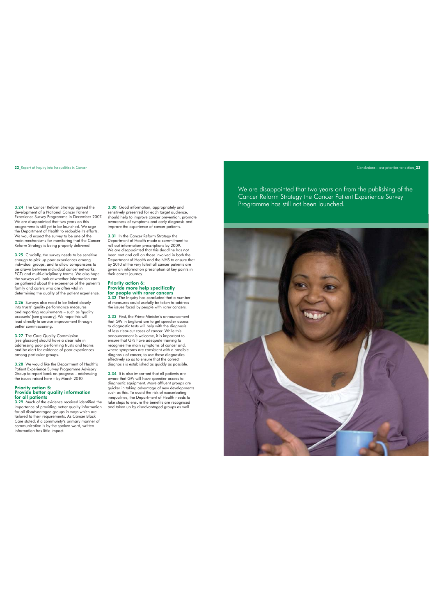## 22 Report of Inquiry into Inequalities in Cancer Conclusions – our priorities for action 23

development of a National Cancer Patient Experience Survey Programme in December 2007. We are disappointed that two years on this programme is still yet to be launched. We urge the Department of Health to redouble its efforts. We would expect the survey to be one of the main mechanisms for monitoring that the Cancer Reform Strategy is being properly delivered.

3.25 Crucially, the survey needs to be sensitive enough to pick up poor experiences among individual groups, and to allow comparisons to be drawn between individual cancer networks, PCTs and multi-disciplinary teams. We also hope the surveys will look at whether information can be gathered about the experience of the patient's family and carers who are often vital in determining the quality of the patient experience.

3.26 Surveys also need to be linked closely into trusts' quality performance measures and reporting requirements – such as 'quality accounts' [see glossary]. We hope this will lead directly to service improvement through better commissioning.

3.27 The Care Quality Commission [see glossary] should have a clear role in addressing poor performing trusts and teams and be alert for evidence of poor experiences among particular groups.

3.28 We would like the Department of Health's Patient Experience Survey Programme Advisory Group to report back on progress – addressing the issues raised here – by March 2010.

## Priority action 5: Provide better quality information for all patients

3.29 Much of the evidence received identified the importance of providing better quality information for all disadvantaged groups in ways which are tailored to their requirements. As Cancer Black Care stated, if a community's primary manner of communication is by the spoken word, written information has little impact.

3.30 Good information, appropriately and sensitively presented for each target audience, should help to improve cancer prevention, promote awareness of symptoms and early diagnosis and improve the experience of cancer patients.

3.31 In the Cancer Reform Strategy the Department of Health made a commitment to roll out information prescriptions by 2009. We are disappointed that this deadline has not been met and call on those involved in both the Department of Health and the NHS to ensure that by 2010 at the very latest all cancer patients are given an information prescription at key points in their cancer journey.

# Priority action 6: Provide more help specifically

**for people with rarer cancers**<br>3.32 The Inquiry has concluded that a number<br>of measures could usefully be taken to address the issues faced by people with rarer cancers.

3.33 First, the Prime Minister's announcement that GPs in England are to get speedier access to diagnostic tests will help with the diagnosis of less clear-cut cases of cancer. While this announcement is welcome, it is important to ensure that GPs have adequate training to recognise the main symptoms of cancer and, where symptoms are consistent with a possible diagnosis of cancer, to use these diagnostics effectively so as to ensure that the correct diagnosis is established as quickly as possible.

3.34 It is also important that all patients are aware that GPs will have speedier access to diagnostic equipment. More affluent groups are quicker in taking advantage of new developments such as this. To avoid the risk of exacerbating inequalities, the Department of Health needs to take steps to ensure the benefits are recognised and taken up by disadvantaged groups as well.

We are disappointed that two years on from the publishing of the Cancer Reform Strategy the Cancer Patient Experience Survey 3.24 The Cancer Reform Strategy agreed the 3.30 Good information, appropriately and Programme has still not been launched.

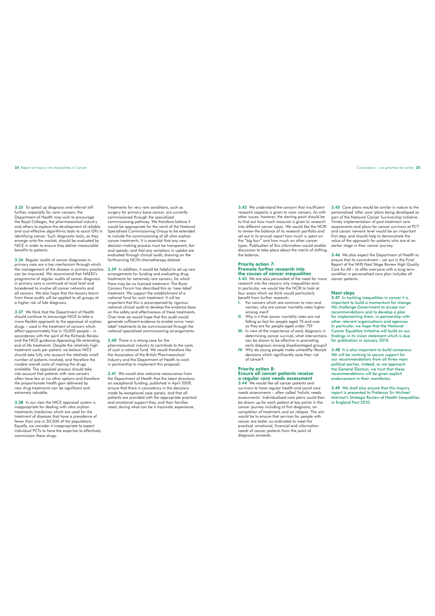3.35 To speed up diagnosis and referral still further, especially for rarer cancers, the Department of Health may wish to encourage the Royal Colleges, the pharmaceutical industry and others to explore the development of reliable<br>and cost-effective algorithmic tools to assist GPs in<br>identifying cancer. Such diagnostic tools, as they<br>emerge onto the market, should be evaluated by<br>NICE in order to ens enefits to patients.

3.36 Regular audits of cancer diagnoses in primary care are a key mechanism through which the management of the disease in primary practice can be improved. We recommend that NAEDI's programme of regular audits of cancer diagnosis in primary care is continued at local level and broadened to involve all cancer networks and all cancers. We also hope that the lessons learnt from these audits will be applied to all groups at a higher risk of late diagnosis.

3.37 We think that the Department of Health should continue to encourage NICE to take a more flexible approach to the appraisal of orphan drugs – used in the treatment of cancers which affect approximately five in 10,000 people – in accordance with the spirit of the Richards Review and the NICE guidance *Appraising life-extending, end of life treatments.* Despite the relatively high treatment costs per patient, we believe NICE should take fully into account the relatively small number of patients involved, and therefore the modest overall costs of making the drugs available. The appraisal process should take into account that patients with rare cancers often have few or no other options and therefore the proportionate health gain delivered by new drug treatments can be significant and extremely valuable.

3.38 In our view the NICE appraisal system is inappropriate for dealing with ultra orphan treatments (medicines which are used for the treatment of diseases that have a prevalence of fewer than one in 50,000 of the population). Equally, we consider it inappropriate to expect individual PCTs to have the expertise to effectively commission these drugs.

Treatments for very rare conditions, such as surgery for primary bone cancer, are currently commissioned through the specialised commissioning pathway. We therefore believe it would be appropriate for the remit of the National Specialised Commissioning Group to be extended to include the commissioning of all ultra orphan cancer treatments. It is essential that any new decision-making process must be transparent, fair and speedy; and that any variations in uptake are evaluated through clinical audit, drawing on the forthcoming NCIN chemotherapy dataset.

3.39 In addition, it would be helpful to set up new<br>arrangements for funding and evaluating drug<br>treatments for extremely rare cancers, for which<br>there may be no licensed treatment. The Rarer<br>Cancers Forum has described th treatment. We support the establishment of a national fund for such treatment. It will be important that this is accompanied by rigorous national clinical audit to develop the evidence base on the safety and effectiveness of these treatments. Over time we would hope that this audit would generate sufficient evidence to enable some 'near-label' treatments to be commissioned through the national specialised commissioning arrangements.

### 3.40 There is a strong case for the

pharmaceutical industry to contribute to the costs<br>of such a national fund. We would therefore like<br>the Association of the British Pharmaceutical<br>Industry and the Department of Health to work in partnership to implement this proposal.

3.41 We would also welcome reassurance from the Department of Health that the latest directions on exceptional funding, published in April 2009, ensure that there is consistency in the decisions made by exceptional case panels, and that all patients are provided with the appropriate practical and emotional support they, and their families need, during what can be a traumatic experience.

3.42 We understand the concern that insufficient research capacity is given to rarer cancers. As with other issues, however, the starting point should be to find out how much resource is given to research into different cancer types. We would like the NCRI to review the balance of its research portfolio and set out in its annual report how much is spent on the "big four" and how much on other cancer types. Publication of this information would enable discussion to take place about the merits of shifting the balance.

### Priority action 7: Promote further research into the causes of cancer inequalities

3.43 We are also persuaded of the need for more research into the reasons why inequalities exist. In particular, we would like the NCRI to look at four areas which we think would particularly benefit from further research: I. For cancers which are common to men and

- women, why are cancer mortality rates higher among men? II. Why is it that cancer mortality rates are not
- falling as fast for people aged 75 and over as they are for people aged under 75? III. In view of the importance of early diagnosis in
- determining cancer survival, what interventions can be shown to be effective in promoting early diagnosis among disadvantaged groups?
- IV. Why do young people make unhealthy lifestyle decisions which significantly raise their risk of cancer?

### Priority action 8: Ensure all cancer patients receive a regular care needs assessment

We would like all cancer patients and survivors to have regular health and social care needs assessments – often called 'holistic needs assessments'. Individualised care plans could then be drawn up for each patient at key points in the cancer journey including at first diagnosis, on completion of treatment, and on relapse. The aim would be to ensure that services for people with cancer are better co-ordinated to meet the practical, emotional, financial and information needs of cancer patients from the point of diagnosis onwards.

3.45 Care plans would be similar in nature to the personalised 'after care' plans being developed as part of the National Cancer Survivorship Initiative. Timely implementation of post treatment care assessments and plans for cancer survivors at PCT and cancer network level would be an important first step, and should help to demonstrate the value of the approach for patients who are at an earlier stage in their cancer journey.

3.46 We also expect the Department of Health to ensure that its commitment – set out in the Final Report of the NHS Next Stage Review *High Quality Care for All* – to offer everyone with a long term condition a personalised care plan includes all cancer patients.

Next steps 3.47 In tackling inequalities in cancer it is important to build a momentum for change. We challenge Government to accept our recommendations and to develop a plan for implementing them, in partnership with other relevant organisations and agencies. In particular, we hope that the National Cancer Equalities Initiative will build on our findings in its vision statement which is due for publication in January 2010.

3.48 It is also important to build consensus. We will be working to secure support for our recommendations from all three main political parties. Indeed, as we approach the General Election, we trust that these recommendations will be given explicit endorsement in their manifestos.

3.49 We shall also ensure that this Inquiry report is presented to Professor Sir Michael Marmot's Strategic Review of Health Inequalities in England Post 2010.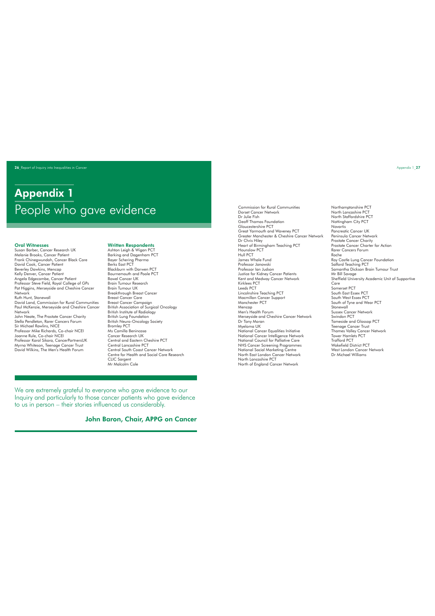26 Report of Inquiry into Inequalities in Cancer Appendix 1\_27

# Appendix 1 People who gave evidence Communities Communities

## Oral Witnesses

Susan Barber, Cancer Research UK Melanie Brooks, Cancer Patient Frank Chinegwundoh, Cancer Black Care David Cook, Cancer Patient Beverley Dawkins, Mencap Kelly Denver, Cancer Patient Angela Edgecombe, Cancer Patient Professor Steve Field, Royal College of GPs Pat Higgins, Merseyside and Cheshire Cancer Network Ruth Hunt, Stonewall David Land, Commission for Rural Communities Paul McKenzie, Merseyside and Cheshire Cancer Network John Neate, The Prostate Cancer Charity Stella Pendleton, Rarer Cancers Forum Sir Michael Rawlins, NICE Professor Mike Richards, Co-chair NCEI Joanne Rule, Co-chair NCEI Professor Karol Sikora, CancerPartnersUK Myrna Whiteson, Teenage Cancer Trust David Wilkins, The Men's Health Forum

### Written Respondents Ashton Leigh & Wigan PCT

Barking and Dagenham PCT Bayer Schering Pharma Berks East PCT Blackburn with Darwen PCT Bournemouth and Poole PCT Bowel Cancer UK Brain Tumour Research Brain Tumour UK Breakthrough Breast Cancer Breast Cancer Care Breast Cancer Campaign British Association of Surgical Oncology British Institute of Radiology British Lung Foundation British Neuro-Oncology Society Bromley PCT Ms Camilla Benincasa Cancer Research UK Central and Eastern Cheshire PCT Central Lancashire PCT Central South Coast Cancer Network Centre for Health and Social Care Research CLIC Sargent Mr Malcolm Cole

We are extremely grateful to everyone who gave evidence to our Inquiry and particularly to those cancer patients who gave evidence to us in person – their stories influenced us considerably.

John Baron, Chair, APPG on Cancer

Dorset Cancer Network Dr Julie Fish Geoff Thomas Foundation Gloucestershire PCT Great Yarmouth and Waveney PCT Greater Manchester & Cheshire Cancer Network Dr Chris Hiley Heart of Birmingham Teaching PCT Hounslow PCT Hull PCT James Whale Fund Professor Janowski Professor Ian Judson Justice for Kidney Cancer Patients Kent and Medway Cancer Network Kirklees PCT Leeds PCT Lincolnshire Teaching PCT Macmillan Cancer Support Manchester PCT Mencap Men's Health Forum Merseyside and Cheshire Cancer Network Dr Tony Moran Myeloma UK National Cancer Equalities Initiative National Cancer Intelligence Network National Council for Palliative Care NHS Cancer Screening Programmes National Social Marketing Centre North East London Cancer Network North Lancashire PCT North of England Cancer Network

Northamptonshire PCT North Lancashire PCT North Staffordshire PCT Nottingham City PCT **Novartis** Pancreatic Cancer UK Peninsula Cancer Network Prostate Cancer Charity Prostate Cancer Charter for Action Rarer Cancers Forum Roche Roy Castle Lung Cancer Foundation Salford Teaching PCT Samantha Dickson Brain Tumour Trust Mr Bill Savage Sheffield University Academic Unit of Supportive Care Somerset PCT South East Essex PCT South West Essex PCT South of Tyne and Wear PCT Stonewall Sussex Cancer Network Swindon PCT Tameside and Glossop PCT Teenage Cancer Trust Thames Valley Cancer Network Tower Hamlets PCT Trafford PCT Wakefield District PCT West London Cancer Network Dr Michael Williams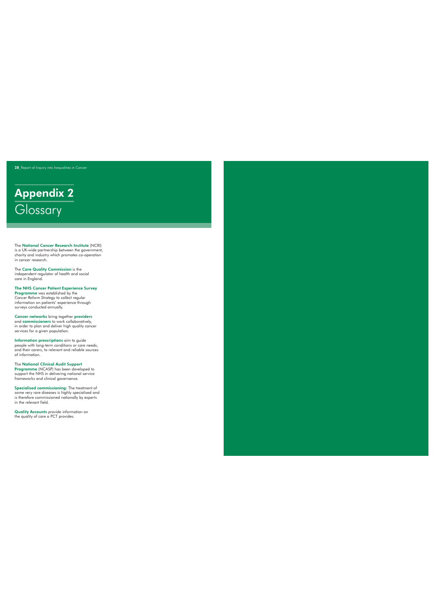28\_Report of Inquiry into Inequalities in Cancer

# Appendix 2 **Glossary**

The National Cancer Research Institute (NCRI) is a UK-wide partnership between the government, charity and industry which promotes co-operation in cancer research.

The **Care Quality Commission** is the<br>independent regulator of health and social<br>care in England.

The NHS Cancer Patient Experience Survey Programme was established by the *Cancer Reform Strategy* to collect regular information on patients' experience through surveys conducted annually.

Cancer networks bring together providers and commissioners to work collaboratively, in order to plan and deliver high quality cancer services for a given population.

Information prescriptions aim to guide people with long-term conditions or care needs, and their carers, to relevant and reliable sources of information.

The National Clinical Audit Support Programme (NCASP) has been developed to support the NHS in delivering national service frameworks and clinical governance.

Specialised commissioning: The treatment of some very rare diseases is highly specialised and is therefore commissioned nationally by experts in the relevant field.

Quality Accounts provide information on the quality of care a PCT provides.